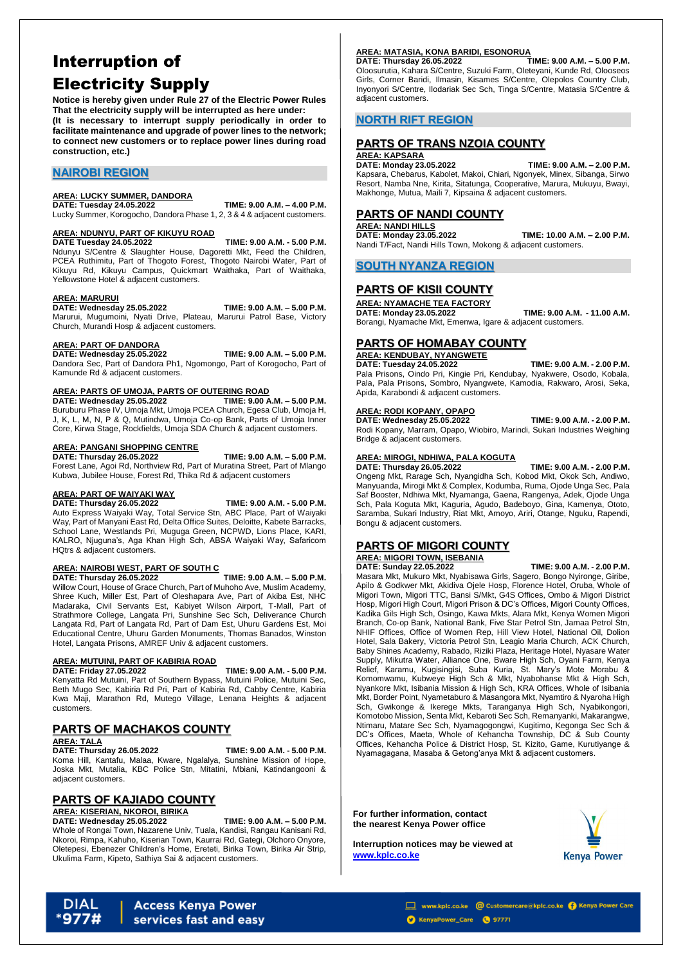# Interruption of Electricity Supply

**Notice is hereby given under Rule 27 of the Electric Power Rules That the electricity supply will be interrupted as here under:**

**(It is necessary to interrupt supply periodically in order to facilitate maintenance and upgrade of power lines to the network; to connect new customers or to replace power lines during road construction, etc.)**

### **NAIROBI REGION**

#### **AREA: LUCKY SUMMER, DANDORA**

**DATE: Tuesday 24.05.2022 TIME: 9.00 A.M. – 4.00 P.M.** Lucky Summer, Korogocho, Dandora Phase 1, 2, 3 & 4 & adjacent customers.

# **AREA: NDUNYU, PART OF KIKUYU ROAD**

**DATE Tuesday 24.05.2022 TIME: 9.00 A.M. - 5.00 P.M.** Ndunyu S/Centre & Slaughter House, Dagoretti Mkt, Feed the Children, PCEA Ruthimitu, Part of Thogoto Forest, Thogoto Nairobi Water, Part of Kikuyu Rd, Kikuyu Campus, Quickmart Waithaka, Part of Waithaka, Yellowstone Hotel & adjacent customers.

#### **AREA: MARURUI**

**DATE: Wednesday 25.05.2022 TIME: 9.00 A.M. – 5.00 P.M.**

Marurui, Mugumoini, Nyati Drive, Plateau, Marurui Patrol Base, Victory Church, Murandi Hosp & adjacent customers.

#### **AREA: PART OF DANDORA**

**DATE: Wednesday 25.05.2022 TIME: 9.00 A.M. – 5.00 P.M.** Dandora Sec, Part of Dandora Ph1, Ngomongo, Part of Korogocho, Part of Kamunde Rd & adjacent customers.

#### **AREA: PARTS OF UMOJA, PARTS OF OUTERING ROAD**

**DATE: Wednesday 25.05.2022 TIME: 9.00 A.M. – 5.00 P.M.** Buruburu Phase IV, Umoja Mkt, Umoja PCEA Church, Egesa Club, Umoja H, J, K, L, M, N, P & Q, Mutindwa, Umoja Co-op Bank, Parts of Umoja Inner Core, Kirwa Stage, Rockfields, Umoja SDA Church & adjacent customers.

#### **AREA: PANGANI SHOPPING CENTRE**

**DATE: Thursday 26.05.2022 TIME: 9.00 A.M. – 5.00 P.M.** Forest Lane, Agoi Rd, Northview Rd, Part of Muratina Street, Part of Mlango Kubwa, Jubilee House, Forest Rd, Thika Rd & adjacent customers

#### **AREA: PART OF WAIYAKI WAY**

**DATE: Thursday 26.05.2022 TIME: 9.00 A.M. - 5.00 P.M.**

Auto Express Waiyaki Way, Total Service Stn, ABC Place, Part of Waiyaki Way, Part of Manyani East Rd, Delta Office Suites, Deloitte, Kabete Barracks, School Lane, Westlands Pri, Muguga Green, NCPWD, Lions Place, KARI, KALRO, Njuguna's, Aga Khan High Sch, ABSA Waiyaki Way, Safaricom HQtrs & adjacent customers.

## **AREA: NAIROBI WEST, PART OF SOUTH C**

**DATE: Thursday 26.05.2022 TIME: 9.00 A.M. – 5.00 P.M.**

Willow Court, House of Grace Church, Part of Muhoho Ave, Muslim Academy, Shree Kuch, Miller Est, Part of Oleshapara Ave, Part of Akiba Est, NHC Madaraka, Civil Servants Est, Kabiyet Wilson Airport, T-Mall, Part of Strathmore College, Langata Pri, Sunshine Sec Sch, Deliverance Church Langata Rd, Part of Langata Rd, Part of Dam Est, Uhuru Gardens Est, Moi Educational Centre, Uhuru Garden Monuments, Thomas Banados, Winston Hotel, Langata Prisons, AMREF Univ & adjacent customers.

#### **AREA: MUTUINI, PART OF KABIRIA ROAD**

**DATE: Friday 27.05.2022 TIME: 9.00 A.M. - 5.00 P.M.**

Kenyatta Rd Mutuini, Part of Southern Bypass, Mutuini Police, Mutuini Sec, Beth Mugo Sec, Kabiria Rd Pri, Part of Kabiria Rd, Cabby Centre, Kabiria Kwa Maji, Marathon Rd, Mutego Village, Lenana Heights & adjacent customers.

### **PARTS OF MACHAKOS COUNTY**

#### **AREA: TALA**

**DATE: Thursday 26.05.2022 TIME: 9.00 A.M. - 5.00 P.M.**

Koma Hill, Kantafu, Malaa, Kware, Ngalalya, Sunshine Mission of Hope, Joska Mkt, Mutalia, KBC Police Stn, Mitatini, Mbiani, Katindangooni & adjacent customers.

### **PARTS OF KAJIADO COUNTY**

### **AREA: KISERIAN, NKOROI, BIRIKA**

#### **DATE: Wednesday 25.05.2022 TIME: 9.00 A.M. – 5.00 P.M.**

Whole of Rongai Town, Nazarene Univ, Tuala, Kandisi, Rangau Kanisani Rd, Nkoroi, Rimpa, Kahuho, Kiserian Town, Kaurrai Rd, Gategi, Olchoro Onyore, Oletepesi, Ebenezer Children's Home, Ereteti, Birika Town, Birika Air Strip, Ukulima Farm, Kipeto, Sathiya Sai & adjacent customers.

#### **AREA: MATASIA, KONA BARIDI, ESONORUA**

**DATE: Thursday 26.05.2022 TIME: 9.00 A.M. – 5.00 P.M.**

Oloosurutia, Kahara S/Centre, Suzuki Farm, Oleteyani, Kunde Rd, Olooseos Girls, Corner Baridi, Ilmasin, Kisames S/Centre, Olepolos Country Club, Inyonyori S/Centre, Ilodariak Sec Sch, Tinga S/Centre, Matasia S/Centre & adjacent customers.

### **NORTH RIFT REGION**

### **PARTS OF TRANS NZOIA COUNTY**

#### **AREA: KAPSARA**

**DATE: Monday 23.05.2022 TIME: 9.00 A.M. – 2.00 P.M.** Kapsara, Chebarus, Kabolet, Makoi, Chiari, Ngonyek, Minex, Sibanga, Sirwo Resort, Namba Nne, Kirita, Sitatunga, Cooperative, Marura, Mukuyu, Bwayi, Makhonge, Mutua, Maili 7, Kipsaina & adjacent customers.

### **PARTS OF NANDI COUNTY**

**AREA: NANDI HILLS DATE: Monday 23.05.2022 TIME: 10.00 A.M. – 2.00 P.M.** Nandi T/Fact, Nandi Hills Town, Mokong & adjacent customers.

### **SOUTH NYANZA REGION**

### **PARTS OF KISII COUNTY**

**AREA: NYAMACHE TEA FACTORY DATE: Monday 23.05.2022 TIME: 9.00 A.M. - 11.00 A.M.** Borangi, Nyamache Mkt, Emenwa, Igare & adjacent customers.

### **PARTS OF HOMABAY COUNTY**

**AREA: KENDUBAY, NYANGWETE DATE: Tuesday 24.05.2022 TIME: 9.00 A.M. - 2.00 P.M.**

Pala Prisons, Oindo Pri, Kingie Pri, Kendubay, Nyakwere, Osodo, Kobala, Pala, Pala Prisons, Sombro, Nyangwete, Kamodia, Rakwaro, Arosi, Seka, Apida, Karabondi & adjacent customers.

#### **AREA: RODI KOPANY, OPAPO**

**DATE: Wednesday 25.05.2022 TIME: 9.00 A.M. - 2.00 P.M.**

Rodi Kopany, Marram, Opapo, Wiobiro, Marindi, Sukari Industries Weighing Bridge & adjacent customers.

#### **AREA: MIROGI, NDHIWA, PALA KOGUTA**

**DATE: Thursday 26.05.2022 TIME: 9.00 A.M. - 2.00 P.M.** Ongeng Mkt, Rarage Sch, Nyangidha Sch, Kobod Mkt, Okok Sch, Andiwo, Manyuanda, Mirogi Mkt & Complex, Kodumba, Ruma, Ojode Unga Sec, Pala Saf Booster, Ndhiwa Mkt, Nyamanga, Gaena, Rangenya, Adek, Ojode Unga Sch, Pala Koguta Mkt, Kaguria, Agudo, Badeboyo, Gina, Kamenya, Ototo, Saramba, Sukari Industry, Riat Mkt, Amoyo, Ariri, Otange, Nguku, Rapendi, Bongu & adjacent customers.

### **PARTS OF MIGORI COUNTY**

**AREA: MIGORI TOWN, ISEBANIA**

#### **DATE: Sunday 22.05.2022 TIME: 9.00 A.M. - 2.00 P.M.**

Masara Mkt, Mukuro Mkt, Nyabisawa Girls, Sagero, Bongo Nyironge, Giribe, Apilo & Godkwer Mkt, Akidiva Ojele Hosp, Florence Hotel, Oruba, Whole of Migori Town, Migori TTC, Bansi S/Mkt, G4S Offices, Ombo & Migori District Hosp, Migori High Court, Migori Prison & DC's Offices, Migori County Offices, Kadika Gils High Sch, Osingo, Kawa Mkts, Alara Mkt, Kenya Women Migori Branch, Co-op Bank, National Bank, Five Star Petrol Stn, Jamaa Petrol Stn, NHIF Offices, Office of Women Rep, Hill View Hotel, National Oil, Dolion Hotel, Sala Bakery, Victoria Petrol Stn, Leagio Maria Church, ACK Church, Baby Shines Academy, Rabado, Riziki Plaza, Heritage Hotel, Nyasare Water Supply, Mikutra Water, Alliance One, Bware High Sch, Oyani Farm, Kenya Relief, Karamu, Kugisingisi, Suba Kuria, St. Mary's Mote Morabu & Komomwamu, Kubweye High Sch & Mkt, Nyabohanse Mkt & High Sch, Nyankore Mkt, Isibania Mission & High Sch, KRA Offices, Whole of Isibania Mkt, Border Point, Nyametaburo & Masangora Mkt, Nyamtiro & Nyaroha High Sch, Gwikonge & Ikerege Mkts, Taranganya High Sch, Nyabikongori, Komotobo Mission, Senta Mkt, Kebaroti Sec Sch, Remanyanki, Makarangwe, Ntimaru, Matare Sec Sch, Nyamagogongwi, Kugitimo, Kegonga Sec Sch &

DC's Offices, Maeta, Whole of Kehancha Township, DC & Sub County Offices, Kehancha Police & District Hosp, St. Kizito, Game, Kurutiyange & Nyamagagana, Masaba & Getong'anya Mkt & adjacent customers.

#### **For further information, contact the nearest Kenya Power office**

**Interruption notices may be viewed at [www.kplc.co.ke](http://www.kplc.co.ke/)**



#### **DIAL Access Kenya Power** services fast and easy

www.kplc.co.ke @ Customercare@kplc.co.ke @ Kenya Power Care KenyaPower\_Care ( 97771